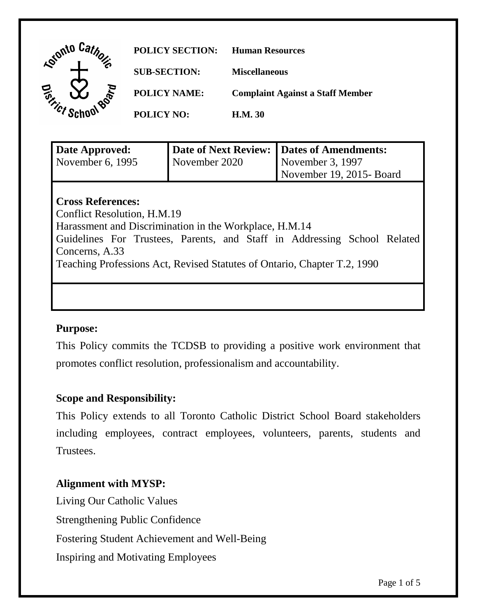| <b>Katonto</b>          | <b>POLICY SECTION:</b> | <b>Human Resources</b>                  |
|-------------------------|------------------------|-----------------------------------------|
| $\epsilon$              | <b>SUB-SECTION:</b>    | <b>Miscellaneous</b>                    |
| ٢                       | <b>POLICY NAME:</b>    | <b>Complaint Against a Staff Member</b> |
| $\gamma_{\mathcal{C}f}$ | <b>POLICY NO:</b>      | <b>H.M. 30</b>                          |

| Date Approved:                                                           | <b>Date of Next Review:</b> | <b>Dates of Amendments:</b> |  |  |
|--------------------------------------------------------------------------|-----------------------------|-----------------------------|--|--|
| November 6, 1995                                                         | November 2020               | November 3, 1997            |  |  |
|                                                                          |                             | November 19, 2015-Board     |  |  |
|                                                                          |                             |                             |  |  |
| <b>Cross References:</b>                                                 |                             |                             |  |  |
| Conflict Resolution, H.M.19                                              |                             |                             |  |  |
| Harassment and Discrimination in the Workplace, H.M.14                   |                             |                             |  |  |
| Guidelines For Trustees, Parents, and Staff in Addressing School Related |                             |                             |  |  |
| Concerns, A.33                                                           |                             |                             |  |  |
| Teaching Professions Act, Revised Statutes of Ontario, Chapter T.2, 1990 |                             |                             |  |  |
|                                                                          |                             |                             |  |  |

### **Purpose:**

This Policy commits the TCDSB to providing a positive work environment that promotes conflict resolution, professionalism and accountability.

### **Scope and Responsibility:**

This Policy extends to all Toronto Catholic District School Board stakeholders including employees, contract employees, volunteers, parents, students and Trustees.

### **Alignment with MYSP:**

Living Our Catholic Values Strengthening Public Confidence Fostering Student Achievement and Well-Being Inspiring and Motivating Employees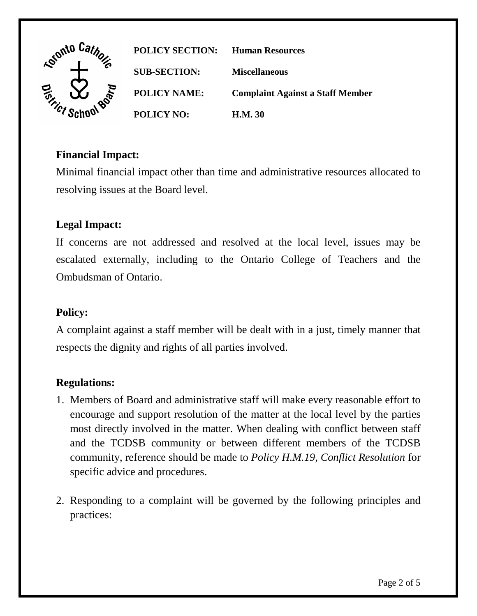

**POLICY SECTION: Human Resources SUB-SECTION: Miscellaneous POLICY NAME: Complaint Against a Staff Member POLICY NO: H.M. 30**

# **Financial Impact:**

Minimal financial impact other than time and administrative resources allocated to resolving issues at the Board level.

# **Legal Impact:**

If concerns are not addressed and resolved at the local level, issues may be escalated externally, including to the Ontario College of Teachers and the Ombudsman of Ontario.

### **Policy:**

A complaint against a staff member will be dealt with in a just, timely manner that respects the dignity and rights of all parties involved.

### **Regulations:**

- 1. Members of Board and administrative staff will make every reasonable effort to encourage and support resolution of the matter at the local level by the parties most directly involved in the matter. When dealing with conflict between staff and the TCDSB community or between different members of the TCDSB community, reference should be made to *Policy H.M.19, Conflict Resolution* for specific advice and procedures.
- 2. Responding to a complaint will be governed by the following principles and practices: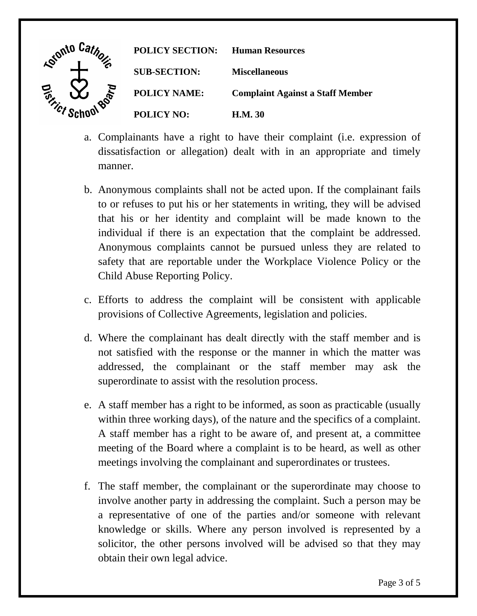

- a. Complainants have a right to have their complaint (i.e. expression of dissatisfaction or allegation) dealt with in an appropriate and timely manner.
- b. Anonymous complaints shall not be acted upon. If the complainant fails to or refuses to put his or her statements in writing, they will be advised that his or her identity and complaint will be made known to the individual if there is an expectation that the complaint be addressed. Anonymous complaints cannot be pursued unless they are related to safety that are reportable under the Workplace Violence Policy or the Child Abuse Reporting Policy.
- c. Efforts to address the complaint will be consistent with applicable provisions of Collective Agreements, legislation and policies.
- d. Where the complainant has dealt directly with the staff member and is not satisfied with the response or the manner in which the matter was addressed, the complainant or the staff member may ask the superordinate to assist with the resolution process.
- e. A staff member has a right to be informed, as soon as practicable (usually within three working days), of the nature and the specifics of a complaint. A staff member has a right to be aware of, and present at, a committee meeting of the Board where a complaint is to be heard, as well as other meetings involving the complainant and superordinates or trustees.
- f. The staff member, the complainant or the superordinate may choose to involve another party in addressing the complaint. Such a person may be a representative of one of the parties and/or someone with relevant knowledge or skills. Where any person involved is represented by a solicitor, the other persons involved will be advised so that they may obtain their own legal advice.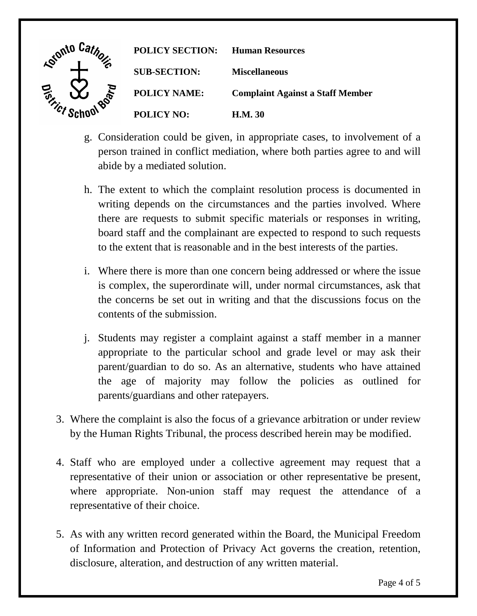

- g. Consideration could be given, in appropriate cases, to involvement of a person trained in conflict mediation, where both parties agree to and will abide by a mediated solution.
- h. The extent to which the complaint resolution process is documented in writing depends on the circumstances and the parties involved. Where there are requests to submit specific materials or responses in writing, board staff and the complainant are expected to respond to such requests to the extent that is reasonable and in the best interests of the parties.
- i. Where there is more than one concern being addressed or where the issue is complex, the superordinate will, under normal circumstances, ask that the concerns be set out in writing and that the discussions focus on the contents of the submission.
- j. Students may register a complaint against a staff member in a manner appropriate to the particular school and grade level or may ask their parent/guardian to do so. As an alternative, students who have attained the age of majority may follow the policies as outlined for parents/guardians and other ratepayers.
- 3. Where the complaint is also the focus of a grievance arbitration or under review by the Human Rights Tribunal, the process described herein may be modified.
- 4. Staff who are employed under a collective agreement may request that a representative of their union or association or other representative be present, where appropriate. Non-union staff may request the attendance of a representative of their choice.
- 5. As with any written record generated within the Board, the Municipal Freedom of Information and Protection of Privacy Act governs the creation, retention, disclosure, alteration, and destruction of any written material.